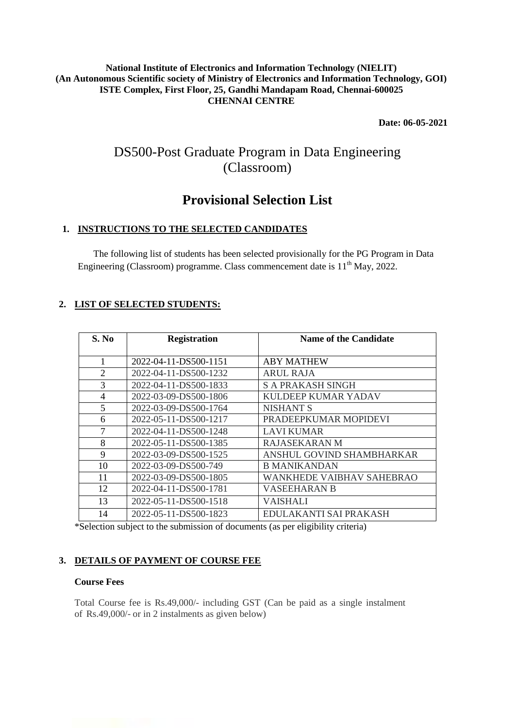#### **National Institute of Electronics and Information Technology (NIELIT) (An Autonomous Scientific society of Ministry of Electronics and Information Technology, GOI) ISTE Complex, First Floor, 25, Gandhi Mandapam Road, Chennai-600025 CHENNAI CENTRE**

**Date: 06-05-2021**

# DS500-Post Graduate Program in Data Engineering (Classroom)

# **Provisional Selection List**

# **1. INSTRUCTIONS TO THE SELECTED CANDIDATES**

The following list of students has been selected provisionally for the PG Program in Data Engineering (Classroom) programme. Class commencement date is  $11<sup>th</sup>$  May, 2022.

# **2. LIST OF SELECTED STUDENTS:**

| S. No          | <b>Registration</b>   | <b>Name of the Candidate</b>     |
|----------------|-----------------------|----------------------------------|
|                | 2022-04-11-DS500-1151 | <b>ABY MATHEW</b>                |
| $\overline{2}$ | 2022-04-11-DS500-1232 | <b>ARUL RAJA</b>                 |
| 3              | 2022-04-11-DS500-1833 | <b>S A PRAKASH SINGH</b>         |
| $\overline{4}$ | 2022-03-09-DS500-1806 | <b>KULDEEP KUMAR YADAV</b>       |
| 5              | 2022-03-09-DS500-1764 | <b>NISHANT S</b>                 |
| 6              | 2022-05-11-DS500-1217 | PRADEEPKUMAR MOPIDEVI            |
| 7              | 2022-04-11-DS500-1248 | <b>LAVI KUMAR</b>                |
| 8              | 2022-05-11-DS500-1385 | <b>RAJASEKARAN M</b>             |
| 9              | 2022-03-09-DS500-1525 | ANSHUL GOVIND SHAMBHARKAR        |
| 10             | 2022-03-09-DS500-749  | <b>B MANIKANDAN</b>              |
| 11             | 2022-03-09-DS500-1805 | <b>WANKHEDE VAIBHAV SAHEBRAO</b> |
| 12             | 2022-04-11-DS500-1781 | VASEEHARAN B                     |
| 13             | 2022-05-11-DS500-1518 | VAISHALI                         |
| 14             | 2022-05-11-DS500-1823 | EDULAKANTI SAI PRAKASH           |

\*Selection subject to the submission of documents (as per eligibility criteria)

# **3. DETAILS OF PAYMENT OF COURSE FEE**

#### **Course Fees**

Total Course fee is Rs.49,000/- including GST (Can be paid as a single instalment of Rs.49,000/- or in 2 instalments as given below)